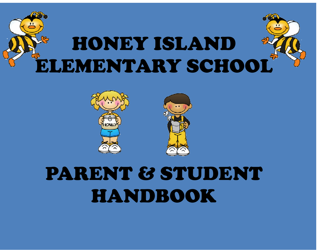



# PARENT & STUDENT HANDBOOK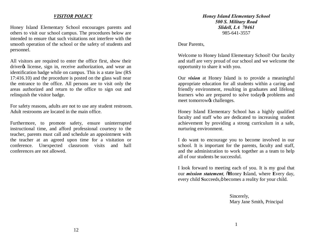## *VISITOR POLICY*

Honey Island Elementary School encourages parents and others to visit our school campus. The procedures below are intended to ensure that such visitations not interfere with the smooth operation of the school or the safety of students and personnel.

All visitors are required to enter the office first, show their driver ts license, sign in, receive authorization, and wear an identification badge while on campus. This is a state law (RS 17:416.10) and the procedure is posted on the glass wall near the entrance to the office. All persons are to visit only the areas authorized and return to the office to sign out and relinquish the visitor badge.

For safety reasons, adults are not to use any student restroom. Adult restrooms are located in the main office.

Furthermore, to promote safety, ensure uninterrupted instructional time, and afford professional courtesy to the teacher, parents must call and schedule an appointment with the teacher at an agreed upon time for a visitation or conference. Unexpected classroom visits and hall conferences are not allowed.

*Honey Island Elementary School 500 S. Military Road Slidell, LA 70461* 985-641-3557

Dear Parents,

Welcome to Honey Island Elementary School! Our faculty and staff are very proud of our school and we welcome the opportunity to share it with you.

Our *vision* at Honey Island is to provide a meaningful appropriate education for all students within a caring and friendly environment, resulting in graduates and lifelong learners who are prepared to solve today $\alpha$  problems and meet tomorrow $\alpha$ s challenges.

Honey Island Elementary School has a highly qualified faculty and staff who are dedicated to increasing student achievement by providing a strong curriculum in a safe, nurturing environment.

I do want to encourage you to become involved in our school. It is important for the parents, faculty and staff, and the administration to work together as a team to help all of our students be successful.

I look forward to meeting each of you. It is my goal that our *mission statement*, "**H**oney **I**sland, where **E**very day, every child Succeeds,  $\ddot{\text{o}}$  becomes a reality for your child.

> Sincerely, Mary Jane Smith, Principal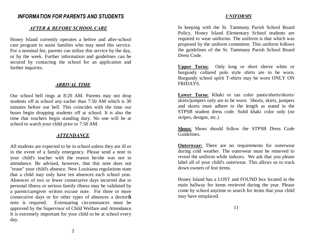# *INFORMATION FOR PARENTS AND STUDENTS*

## *AFTER & BEFORE SCHOOL CARE*

Honey Island currently operates a before and after-school care program to assist families who may need this service. For a nominal fee, parents can utilize this service by the day, or by the week. Further information and guidelines can be secured by contacting the school for an application and further inquiries.

## *ARRIVAL TIME*

Our school bell rings at 8:20 AM. Parents may not drop students off at school any earlier than 7:50 AM which is 30 minutes before our bell. This coincides with the time our buses begin dropping students off at school. It is also the time that teachers begin standing duty. No one will be at school to watch your child prior to 7:50 AM.

#### *ATTENDANCE*

All students are expected to be in school unless they are ill or in the event of a family emergency. Please send a note to your child's teacher with the reason he/she was not in attendance. Be advised, however, that this note does not "erase" your child's absence. New Louisiana regulations state that a child may only have ten absences each school year. Absences of two or fewer consecutive days incurred due to personal illness or serious family illness may be validated by a parent/caregiver written excuse note. For three or more consecutive days or for other types of absences a doctor note is required. Extenuating circumstances must be approved by the Supervisor of Child Welfare and Attendance. It is extremely important for your child to be at school every day.

#### *UNIFORMS*

In keeping with the St. Tammany Parish School Board Policy, Honey Island Elementary School students are required to wear uniforms. The uniform is that which was proposed by the uniform committee. This uniform follows the guidelines of the St. Tammany Parish School Board Dress Code.

**Upper Torso:** Only long or short sleeve white or burgundy collared polo style shirts are to be worn. Burgundy school spirit T-shirts may be worn ONLY ON FRIDAYS.

**Lower Torso:** Khaki or tan color pants/shorts/skorts/ skirts/jumpers only are to be worn. Shorts, skirts, jumpers and skorts must adhere to the length as stated in the STPSB student dress code. Solid khaki color only (no stripes, designs, etc.)

**Shoes:** Shoes should follow the STPSB Dress Code Guidelines.

**Outerwear:** There are no requirements for outerwear during cold weather. The outerwear must be removed to reveal the uniform while indoors. We ask that you please label all of your child's outerwear. This allows us to track down owners of lost items.

Honey Island has a LOST and FOUND box located in the main hallway for items retrieved during the year. Please come by school anytime to search for items that your child may have misplaced.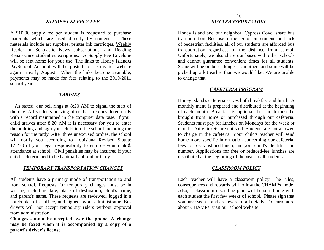## *STUDENT SUPPLY FEE*

A \$10.00 supply fee per student is requested to purchase materials which are used directly by students. These materials include art supplies, printer ink cartridges, Weekly Reader or Scholastic News subscriptions, and Reading Renaissance student subscriptions. A Supply Fee Envelope will be sent home for your use. The links to Honey Island PaySchool Account will be posted to the district website again in early August. When the links become available, payments may be made for fees relating to the 2010-2011 school year.

## *TARDIES*

As stated, our bell rings at 8:20 AM to signal the start of the day. All students arriving after that are considered tardy with a record maintained in the computer data base. If your child arrives after 8:20 AM it is necessary for you to enter the building and sign your child into the school including the reason for the tardy. After three unexcused tardies, the school will notify you according to Louisiana Revised Statute  $17:233$  of your legal responsibility to enforce your child  $\&$ attendance at school. Civil penalties may be incurred if your child is determined to be habitually absent or tardy.

#### *TEMPORARY TRANSPORTATION CHANGES*

All students have a primary mode of transportation to and from school. Requests for temporary changes must be in writing, including date, place of destination, child's name, and parent's name. These requests are reviewed, logged in a notebook in the office, and signed by an administrator. Bus drivers will not accept temporary riders without approval from administration.

**Changes cannot be accepted over the phone. A change may be faxed when it is accompanied by a copy of a parent's driver's license.** 

## 10 *BUS TRANSPORTATION*

Honey Island and our neighbor, Cypress Cove, share bus transportation. Because of the age of our students and lack of pedestrian facilities, all of our students are afforded bus transportation regardless of the distance from school. Unfortunately, we also share our buses with other schools and cannot guarantee convenient times for all students. Some will be on buses longer than others and some will be picked up a lot earlier than we would like. We are unable to change that.

#### *CAFETERIA PROGRAM*

Honey Island's cafeteria serves both breakfast and lunch. A monthly menu is prepared and distributed at the beginning of each month. Breakfast is optional, but lunch must be brought from home or purchased through our cafeteria. Students must pay for lunches on Mondays for the week or month. Daily tickets are not sold. Students are not allowed to charge in the cafeteria. Your child's teacher will send home more specific information concerning our cafeteria, fees for breakfast and lunch, and your child's identification number. Applications for free or reduced-fee lunches are distributed at the beginning of the year to all students.

## *CLASSROOM POLICY*

Each teacher will have a classroom policy. The rules, consequences and rewards will follow the CHAMPs model. Also, a classroom discipline plan will be sent home with each student the first few weeks of school. Please sign that you have seen it and are aware of all details. To learn more about CHAMPs, visit our school website.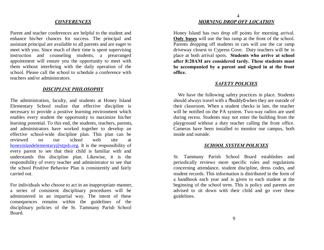## *CONFERENCES*

Parent and teacher conferences are helpful to the student and enhance his/her chances for success. The principal and assistant principal are available to all parents and are eager to meet with you. Since much of their time is spent supervising instruction and counseling students, a prearranged appointment will ensure you the opportunity to meet with them without interfering with the daily operation of the school. Please call the school to schedule a conference with teachers and/or administrators.

## *DISCIPLINE PHILOSOPHY*

The administration, faculty, and students at Honey Island Elementary School realize that effective discipline is necessary to provide a positive learning environment which enables every student the opportunity to maximize his/her learning potential. To this end, the students, teachers, parents, and administrators have worked together to develop an effective school-wide discipline plan. This plan can be reviewed on our school web site at honeyislandelementary@stpsb.org. It is the responsibility of every [parent to see that their child is](mailto:honeyislandelementary@stpsb.org) familiar with and understands this discipline plan. Likewise, it is the responsibility of every teacher and administrator to see that the school Positive Behavior Plan is consistently and fairly carried out.

For individuals who choose to act in an inappropriate manner, a series of consistent disciplinary procedures will be administered in an impartial way. The intent of these consequences remains within the guidelines of the disciplinary policies of the St. Tammany Parish School Board.

## 4 *MORNING DROP OFF LOCATION*

Honey Island has two drop off points for morning arrival. **Only buses** will use the bus ramp at the front of the school. Parents dropping off students in cars will use the car ramp driveway closest to Cypress Cove. Duty teachers will be in place at both arrival spots. **Students who arrive at school after 8:20AM are considered tardy. These students must be accompanied by a parent and signed in at the front office.** 

#### *SAFETY POLICIES*

We have the following safety practices in place. Students should always travel with a  $\delta$ buddy $\ddot{o}$  when they are outside of their classroom. When a student checks in late, the teacher will be notified on the PA system. Two-way radios are used during recess. Students may not enter the building from the playground without a duty teacher calling the front office. Cameras have been installed to monitor our campus, both inside and outside.

#### *SCHOOL SYSTEM POLICIES*

St. Tammany Parish School Board establishes and periodically reviews more specific rules and regulations concerning attendance, student discipline, dress codes, and student records. This information is distributed in the form of a handbook each year and is given to each student at the beginning of the school term. This is policy and parents are advised to sit down with their child and go over these guidelines.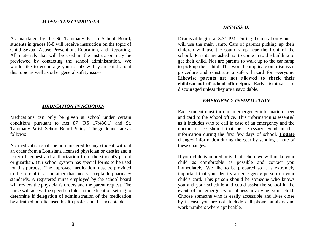## *MANDATED CURRICULA*

As mandated by the St. Tammany Parish School Board, students in grades K-8 will receive instruction on the topic of Child Sexual Abuse Prevention, Education, and Reporting. All materials that will be used in the instruction may be previewed by contacting the school administration. We would like to encourage you to talk with your child about this topic as well as other general safety issues.

#### *MEDICATION IN SCHOOLS*

Medications can only be given at school under certain conditions pursuant to Act 87 (RS 17:436.1) and St. Tammany Parish School Board Policy. The guidelines are as follows:

No medication shall be administered to any student without an order from a Louisiana licensed physician or dentist and a letter of request and authorization from the student's parent or guardian. Our school system has special forms to be used for this purpose. The approved medication must be provided to the school in a container that meets acceptable pharmacy standards. A registered nurse employed by the school board will review the physician's orders and the parent request. The nurse will access the specific child in the education setting to determine if delegation of administration of the medication by a trained non-licensed health professional is acceptable.

#### *DISMISSAL*

Dismissal begins at 3:31 PM. During dismissal only buses will use the main ramp. Cars of parents picking up their children will use the south ramp near the front of the school. Parents are asked not to come in to the building to get their child. Nor are parents to walk up to the car ramp to pick up their child. This would complicate our dismissal procedure and constitute a safety hazard for everyone. **Likewise parents are not allowed to check their children out of school after 3pm.** Early dismissals are discouraged unless they are unavoidable.

#### *EMERGENCY INFORMATION*

Each student must turn in an emergency information sheet and card to the school office. This information is essential as it includes who to call in case of an emergency and the doctor to see should that be necessary. Send in this information during the first few days of school. **Update** changed information during the year by sending a note of these changes.

If your child is injured or is ill at school we will make your child as comfortable as possible and contact you immediately. We like to be prepared so it is extremely important that you identify an emergency person on your child's card. This person should be someone who knows you and your schedule and could assist the school in the event of an emergency or illness involving your child. Choose someone who is easily accessible and lives close by in case you are not. Include cell phone numbers and work numbers where applicable.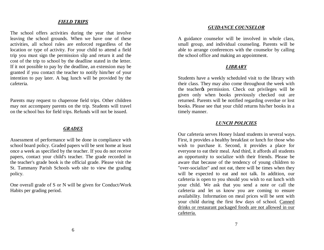## *FIELD TRIPS*

The school offers activities during the year that involve leaving the school grounds. When we have one of these activities, all school rules are enforced regardless of the location or type of activity. For your child to attend a field trip you must sign the permission slip and return it and the cost of the trip to school by the deadline stated in the letter. If it not possible to pay by the deadline, an extension may be granted if you contact the teacher to notify him/her of your intention to pay later. A bag lunch will be provided by the cafeteria.

Parents may request to chaperone field trips. Other children may not accompany parents on the trip. Students will travel on the school bus for field trips. Refunds will not be issued.

#### *GRADES*

Assessment of performance will be done in compliance with school board policy. Graded papers will be sent home at least once a week as specified by the teacher. If you do not receive papers, contact your child's teacher. The grade recorded in the teacher's grade book is the official grade. Please visit the St. Tammany Parish Schools web site to view the grading policy.

One overall grade of S or N will be given for Conduct/Work Habits per grading period.

## *GUIDANCE COUNSELOR*

A guidance counselor will be involved in whole class, small group, and individual counseling. Parents will be able to arrange conferences with the counselor by calling the school office and making an appointment.

#### *LIBRARY*

Students have a weekly scheduled visit to the library with their class. They may also come throughout the week with the teacher the permission. Check out privileges will be given only when books previously checked out are returned. Parents will be notified regarding overdue or lost books. Please see that your child returns his/her books in a timely manner.

#### *LUNCH POLICIES*

Our cafeteria serves Honey Island students in several ways. First, it provides a healthy breakfast or lunch for those who wish to purchase it. Second, it provides a place for everyone to eat their meal. And third, it affords all students an opportunity to socialize with their friends. Please be aware that because of the tendency of young children to "over-socialize" and not eat, there will be times when they will be expected to eat and not talk. In addition, our cafeteria is open to you should you wish to eat lunch with your child. We ask that you send a note or call the cafeteria and let us know you are coming to ensure availability. Information on meal prices will be sent with your child during the first few days of school. Canned drinks or restaurant packaged foods are not allowed in our cafeteria.